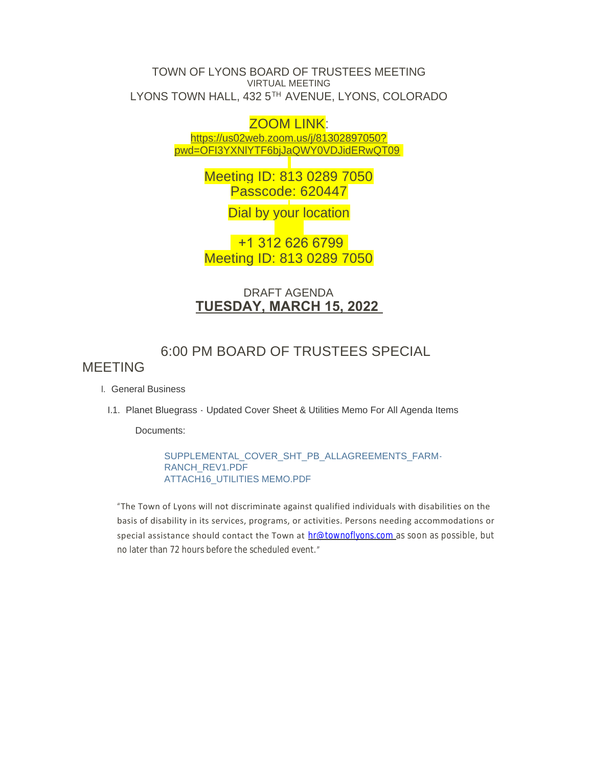TOWN OF LYONS BOARD OF TRUSTEES MEETING VIRTUAL MEETING LYONS TOWN HALL, 432 5TH AVENUE, LYONS, COLORADO

## ZOOM LINK:

https://us02web.zoom.us/j/81302897050? pw[d=OFI3YXNlYTF6bjJaQWY0VDJidERwQT09](https://us02web.zoom.us/j/81302897050?pwd=OFI3YXNlYTF6bjJaQWY0VDJidERwQT09)

> Meeting ID: 813 0289 7050 Passcode: 620447

> > Dial by your location

 +1 312 626 6799 Meeting ID: 813 0289 7050

## DRAFT AGENDA **TUESDAY, MARCH 15, 2022**

# 6:00 PM BOARD OF TRUSTEES SPECIAL

## MEETING

- General Business I.
- I.1. Planet Bluegrass Updated Cover Sheet & Utilities Memo For All Agenda Items

Documents:

SUPPLEMENTAL\_COVER\_SHT\_PB\_ALLAGREEMENTS\_FARM-RANCH\_REV1.PDF ATTACH16\_UTILITIES MEMO.PDF

"The Town of Lyons will not discriminate against qualified individuals with disabilities on the basis of disability in its services, programs, or activities. Persons needing accommodations or special assistance should contact the Town at [hr@townoflyons.com](mailto:hr@townoflyosn.com) as soon as possible, but no later than 72 hours before the scheduled event."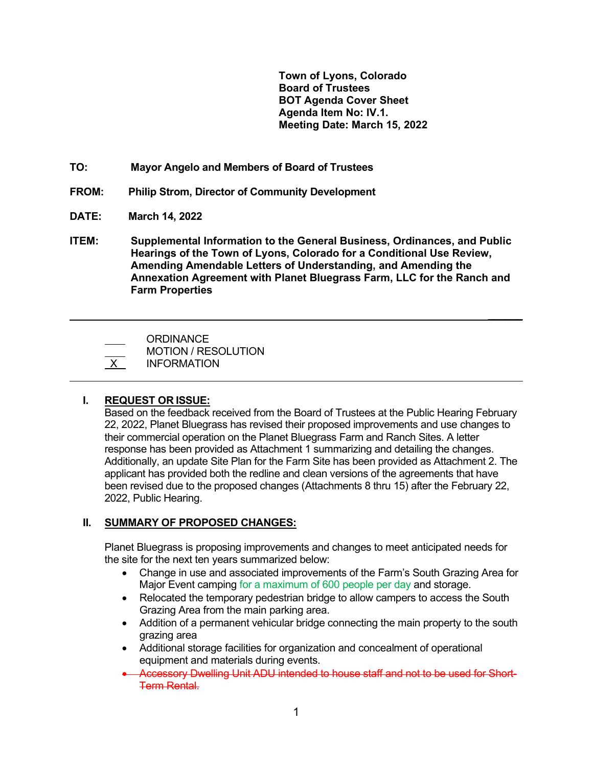**Town of Lyons, Colorado Board of Trustees BOT Agenda Cover Sheet Agenda Item No: IV.1. Meeting Date: March 15, 2022**

- **TO: Mayor Angelo and Members of Board of Trustees**
- **FROM: Philip Strom, Director of Community Development**
- **DATE: March 14, 2022**
- **ITEM: Supplemental Information to the General Business, Ordinances, and Public Hearings of the Town of Lyons, Colorado for a Conditional Use Review, Amending Amendable Letters of Understanding, and Amending the Annexation Agreement with Planet Bluegrass Farm, LLC for the Ranch and Farm Properties**

 **\_\_\_\_\_\_**

**ORDINANCE**  MOTION / RESOLUTION X INFORMATION

**I. REQUEST OR ISSUE:**

 $\overline{a}$ 

Based on the feedback received from the Board of Trustees at the Public Hearing February 22, 2022, Planet Bluegrass has revised their proposed improvements and use changes to their commercial operation on the Planet Bluegrass Farm and Ranch Sites. A letter response has been provided as Attachment 1 summarizing and detailing the changes. Additionally, an update Site Plan for the Farm Site has been provided as Attachment 2. The applicant has provided both the redline and clean versions of the agreements that have been revised due to the proposed changes (Attachments 8 thru 15) after the February 22, 2022, Public Hearing.

## **II. SUMMARY OF PROPOSED CHANGES:**

Planet Bluegrass is proposing improvements and changes to meet anticipated needs for the site for the next ten years summarized below:

- Change in use and associated improvements of the Farm's South Grazing Area for Major Event camping for a maximum of 600 people per day and storage.
- Relocated the temporary pedestrian bridge to allow campers to access the South Grazing Area from the main parking area.
- Addition of a permanent vehicular bridge connecting the main property to the south grazing area
- Additional storage facilities for organization and concealment of operational equipment and materials during events.
- Accessory Dwelling Unit ADU intended to house staff and not to be used for Short-Term Rental.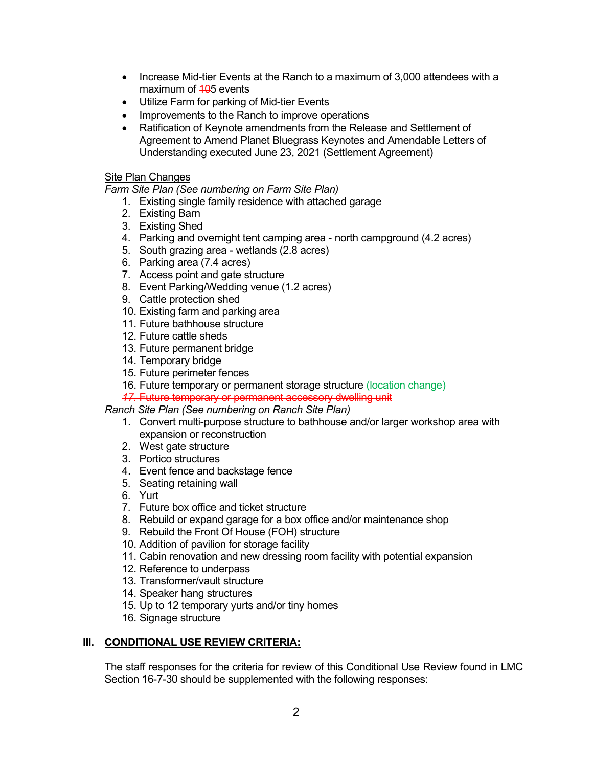- Increase Mid-tier Events at the Ranch to a maximum of 3,000 attendees with a maximum of  $105$  events
- Utilize Farm for parking of Mid-tier Events
- Improvements to the Ranch to improve operations
- Ratification of Keynote amendments from the Release and Settlement of Agreement to Amend Planet Bluegrass Keynotes and Amendable Letters of Understanding executed June 23, 2021 (Settlement Agreement)

## Site Plan Changes

*Farm Site Plan (See numbering on Farm Site Plan)*

- 1. Existing single family residence with attached garage
- 2. Existing Barn
- 3. Existing Shed
- 4. Parking and overnight tent camping area north campground (4.2 acres)
- 5. South grazing area wetlands (2.8 acres)
- 6. Parking area (7.4 acres)
- 7. Access point and gate structure
- 8. Event Parking/Wedding venue (1.2 acres)
- 9. Cattle protection shed
- 10. Existing farm and parking area
- 11. Future bathhouse structure
- 12. Future cattle sheds
- 13. Future permanent bridge
- 14. Temporary bridge
- 15. Future perimeter fences
- 16. Future temporary or permanent storage structure (location change)
- *17.* Future temporary or permanent accessory dwelling unit

## *Ranch Site Plan (See numbering on Ranch Site Plan)*

- 1. Convert multi-purpose structure to bathhouse and/or larger workshop area with expansion or reconstruction
- 2. West gate structure
- 3. Portico structures
- 4. Event fence and backstage fence
- 5. Seating retaining wall
- 6. Yurt
- 7. Future box office and ticket structure
- 8. Rebuild or expand garage for a box office and/or maintenance shop
- 9. Rebuild the Front Of House (FOH) structure
- 10. Addition of pavilion for storage facility
- 11. Cabin renovation and new dressing room facility with potential expansion
- 12. Reference to underpass
- 13. Transformer/vault structure
- 14. Speaker hang structures
- 15. Up to 12 temporary yurts and/or tiny homes
- 16. Signage structure

## **III. CONDITIONAL USE REVIEW CRITERIA:**

The staff responses for the criteria for review of this Conditional Use Review found in LMC Section 16-7-30 should be supplemented with the following responses: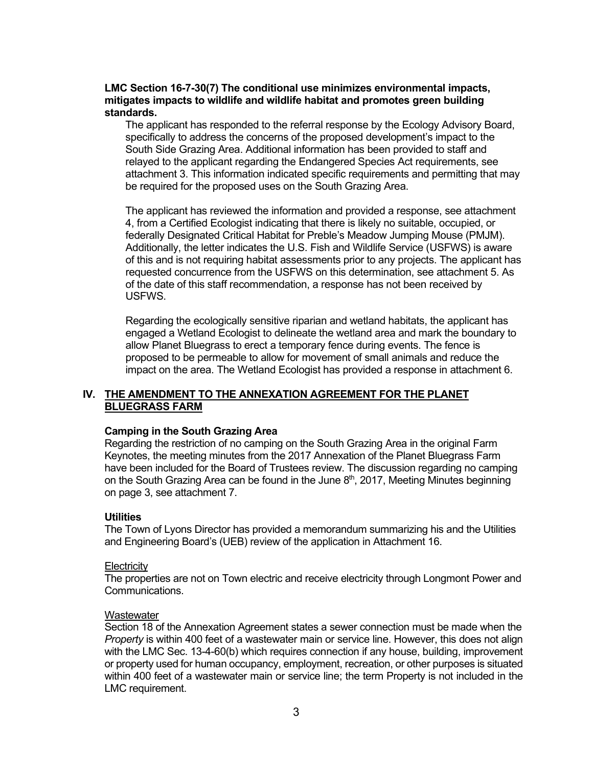#### **LMC Section 16-7-30(7) The conditional use minimizes environmental impacts, mitigates impacts to wildlife and wildlife habitat and promotes green building standards.**

The applicant has responded to the referral response by the Ecology Advisory Board, specifically to address the concerns of the proposed development's impact to the South Side Grazing Area. Additional information has been provided to staff and relayed to the applicant regarding the Endangered Species Act requirements, see attachment 3. This information indicated specific requirements and permitting that may be required for the proposed uses on the South Grazing Area.

The applicant has reviewed the information and provided a response, see attachment 4, from a Certified Ecologist indicating that there is likely no suitable, occupied, or federally Designated Critical Habitat for Preble's Meadow Jumping Mouse (PMJM). Additionally, the letter indicates the U.S. Fish and Wildlife Service (USFWS) is aware of this and is not requiring habitat assessments prior to any projects. The applicant has requested concurrence from the USFWS on this determination, see attachment 5. As of the date of this staff recommendation, a response has not been received by USFWS.

Regarding the ecologically sensitive riparian and wetland habitats, the applicant has engaged a Wetland Ecologist to delineate the wetland area and mark the boundary to allow Planet Bluegrass to erect a temporary fence during events. The fence is proposed to be permeable to allow for movement of small animals and reduce the impact on the area. The Wetland Ecologist has provided a response in attachment 6.

## **IV. THE AMENDMENT TO THE ANNEXATION AGREEMENT FOR THE PLANET BLUEGRASS FARM**

#### **Camping in the South Grazing Area**

Regarding the restriction of no camping on the South Grazing Area in the original Farm Keynotes, the meeting minutes from the 2017 Annexation of the Planet Bluegrass Farm have been included for the Board of Trustees review. The discussion regarding no camping on the South Grazing Area can be found in the June  $8<sup>th</sup>$ , 2017, Meeting Minutes beginning on page 3, see attachment 7.

#### **Utilities**

The Town of Lyons Director has provided a memorandum summarizing his and the Utilities and Engineering Board's (UEB) review of the application in Attachment 16.

#### **Electricity**

The properties are not on Town electric and receive electricity through Longmont Power and Communications.

#### **Wastewater**

Section 18 of the Annexation Agreement states a sewer connection must be made when the *Property* is within 400 feet of a wastewater main or service line. However, this does not align with the LMC Sec. 13-4-60(b) which requires connection if any house, building, improvement or property used for human occupancy, employment, recreation, or other purposes is situated within 400 feet of a wastewater main or service line; the term Property is not included in the LMC requirement.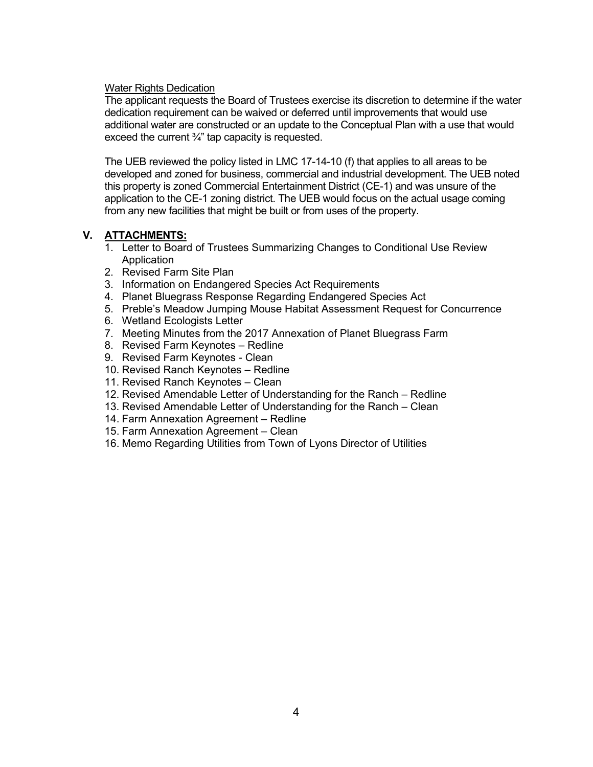### Water Rights Dedication

The applicant requests the Board of Trustees exercise its discretion to determine if the water dedication requirement can be waived or deferred until improvements that would use additional water are constructed or an update to the Conceptual Plan with a use that would exceed the current  $\frac{3}{4}$ " tap capacity is requested.

The UEB reviewed the policy listed in LMC 17-14-10 (f) that applies to all areas to be developed and zoned for business, commercial and industrial development. The UEB noted this property is zoned Commercial Entertainment District (CE-1) and was unsure of the application to the CE-1 zoning district. The UEB would focus on the actual usage coming from any new facilities that might be built or from uses of the property.

## **V. ATTACHMENTS:**

- 1. Letter to Board of Trustees Summarizing Changes to Conditional Use Review Application
- 2. Revised Farm Site Plan
- 3. Information on Endangered Species Act Requirements
- 4. Planet Bluegrass Response Regarding Endangered Species Act
- 5. Preble's Meadow Jumping Mouse Habitat Assessment Request for Concurrence
- 6. Wetland Ecologists Letter
- 7. Meeting Minutes from the 2017 Annexation of Planet Bluegrass Farm
- 8. Revised Farm Keynotes Redline
- 9. Revised Farm Keynotes Clean
- 10. Revised Ranch Keynotes Redline
- 11. Revised Ranch Keynotes Clean
- 12. Revised Amendable Letter of Understanding for the Ranch Redline
- 13. Revised Amendable Letter of Understanding for the Ranch Clean
- 14. Farm Annexation Agreement Redline
- 15. Farm Annexation Agreement Clean
- 16. Memo Regarding Utilities from Town of Lyons Director of Utilities